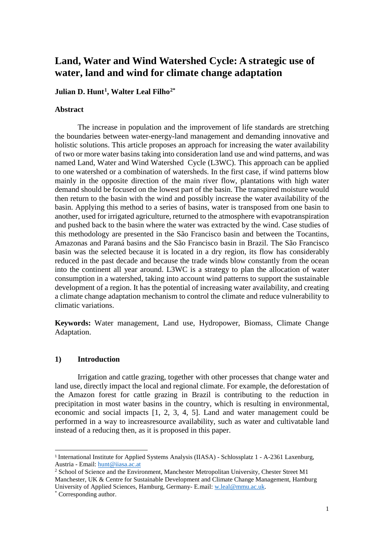# **Land, Water and Wind Watershed Cycle: A strategic use of water, land and wind for climate change adaptation**

# **Julian D. Hunt[1](#page-0-0), Walter Leal Filho[2\\*](#page-0-1)**

# **Abstract**

The increase in population and the improvement of life standards are stretching the boundaries between water-energy-land management and demanding innovative and holistic solutions. This article proposes an approach for increasing the water availability of two or more water basins taking into consideration land use and wind patterns, and was named Land, Water and Wind Watershed Cycle (L3WC). This approach can be applied to one watershed or a combination of watersheds. In the first case, if wind patterns blow mainly in the opposite direction of the main river flow, plantations with high water demand should be focused on the lowest part of the basin. The transpired moisture would then return to the basin with the wind and possibly increase the water availability of the basin. Applying this method to a series of basins, water is transposed from one basin to another, used for irrigated agriculture, returned to the atmosphere with evapotranspiration and pushed back to the basin where the water was extracted by the wind. Case studies of this methodology are presented in the São Francisco basin and between the Tocantins, Amazonas and Paraná basins and the São Francisco basin in Brazil. The São Francisco basin was the selected because it is located in a dry region, its flow has considerably reduced in the past decade and because the trade winds blow constantly from the ocean into the continent all year around. L3WC is a strategy to plan the allocation of water consumption in a watershed, taking into account wind patterns to support the sustainable development of a region. It has the potential of increasing water availability, and creating a climate change adaptation mechanism to control the climate and reduce vulnerability to climatic variations.

**Keywords:** Water management, Land use, Hydropower, Biomass, Climate Change Adaptation.

#### **1) Introduction**

Irrigation and cattle grazing, together with other processes that change water and land use, directly impact the local and regional climate. For example, the deforestation of the Amazon forest for cattle grazing in Brazil is contributing to the reduction in precipitation in most water basins in the country, which is resulting in environmental, economic and social impacts [1, 2, 3, 4, 5]. Land and water management could be performed in a way to increasresource availability, such as water and cultivatable land instead of a reducing then, as it is proposed in this paper.

-

<span id="page-0-0"></span><sup>1</sup> International Institute for Applied Systems Analysis (IIASA) - Schlossplatz 1 - A-2361 Laxenburg, Austria - Email: [hunt@iiasa.ac.at](mailto:hunt@iiasa.ac.at)

<span id="page-0-1"></span> $2$  School of Science and the Environment, Manchester Metropolitan University, Chester Street M1 Manchester, UK & Centre for Sustainable Development and Climate Change Management, Hamburg University of Applied Sciences, Hamburg, Germany- E.mail: [w.leal@mmu.ac.uk.](mailto:w.leal@mmu.ac.uk)

<sup>\*</sup> Corresponding author.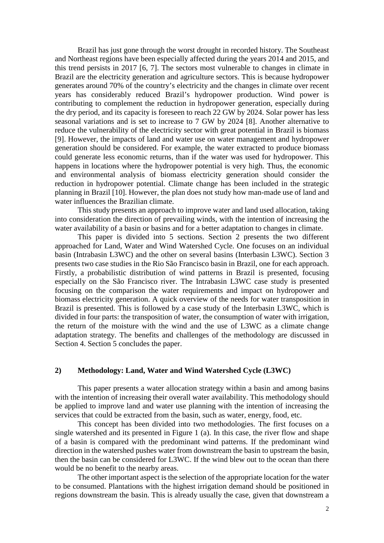Brazil has just gone through the worst drought in recorded history. The Southeast and Northeast regions have been especially affected during the years 2014 and 2015, and this trend persists in 2017 [6, 7]. The sectors most vulnerable to changes in climate in Brazil are the electricity generation and agriculture sectors. This is because hydropower generates around 70% of the country's electricity and the changes in climate over recent years has considerably reduced Brazil's hydropower production. Wind power is contributing to complement the reduction in hydropower generation, especially during the dry period, and its capacity is foreseen to reach 22 GW by 2024. Solar power has less seasonal variations and is set to increase to 7 GW by 2024 [8]. Another alternative to reduce the vulnerability of the electricity sector with great potential in Brazil is biomass [9]. However, the impacts of land and water use on water management and hydropower generation should be considered. For example, the water extracted to produce biomass could generate less economic returns, than if the water was used for hydropower. This happens in locations where the hydropower potential is very high. Thus, the economic and environmental analysis of biomass electricity generation should consider the reduction in hydropower potential. Climate change has been included in the strategic planning in Brazil [10]. However, the plan does not study how man-made use of land and water influences the Brazilian climate.

This study presents an approach to improve water and land used allocation, taking into consideration the direction of prevailing winds, with the intention of increasing the water availability of a basin or basins and for a better adaptation to changes in climate.

This paper is divided into 5 sections. Section 2 presents the two different approached for Land, Water and Wind Watershed Cycle. One focuses on an individual basin (Intrabasin L3WC) and the other on several basins (Interbasin L3WC). Section 3 presents two case studies in the Rio São Francisco basin in Brazil, one for each approach. Firstly, a probabilistic distribution of wind patterns in Brazil is presented, focusing especially on the São Francisco river. The Intrabasin L3WC case study is presented focusing on the comparison the water requirements and impact on hydropower and biomass electricity generation. A quick overview of the needs for water transposition in Brazil is presented. This is followed by a case study of the Interbasin L3WC, which is divided in four parts: the transposition of water, the consumption of water with irrigation, the return of the moisture with the wind and the use of L3WC as a climate change adaptation strategy. The benefits and challenges of the methodology are discussed in Section 4. Section 5 concludes the paper.

# **2) Methodology: Land, Water and Wind Watershed Cycle (L3WC)**

This paper presents a water allocation strategy within a basin and among basins with the intention of increasing their overall water availability. This methodology should be applied to improve land and water use planning with the intention of increasing the services that could be extracted from the basin, such as water, energy, food, etc.

This concept has been divided into two methodologies. The first focuses on a single watershed and its presented in [Figure 1](#page-2-0) (a). In this case, the river flow and shape of a basin is compared with the predominant wind patterns. If the predominant wind direction in the watershed pushes water from downstream the basin to upstream the basin, then the basin can be considered for L3WC. If the wind blew out to the ocean than there would be no benefit to the nearby areas.

The other important aspect is the selection of the appropriate location for the water to be consumed. Plantations with the highest irrigation demand should be positioned in regions downstream the basin. This is already usually the case, given that downstream a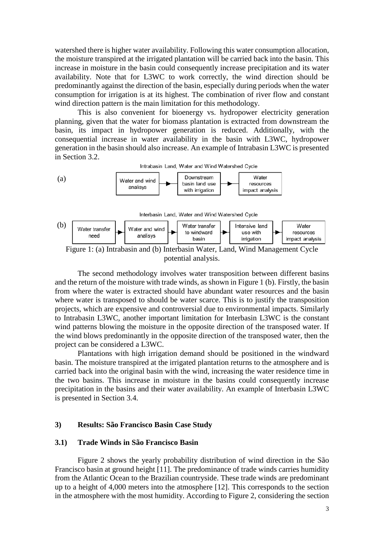watershed there is higher water availability. Following this water consumption allocation, the moisture transpired at the irrigated plantation will be carried back into the basin. This increase in moisture in the basin could consequently increase precipitation and its water availability. Note that for L3WC to work correctly, the wind direction should be predominantly against the direction of the basin, especially during periods when the water consumption for irrigation is at its highest. The combination of river flow and constant wind direction pattern is the main limitation for this methodology.

This is also convenient for bioenergy vs. hydropower electricity generation planning, given that the water for biomass plantation is extracted from downstream the basin, its impact in hydropower generation is reduced. Additionally, with the consequential increase in water availability in the basin with L3WC, hydropower generation in the basin should also increase. An example of Intrabasin L3WC is presented in Section 3.2.



<span id="page-2-0"></span>The second methodology involves water transposition between different basins and the return of the moisture with trade winds, as shown in [Figure 1](#page-2-0) (b). Firstly, the basin from where the water is extracted should have abundant water resources and the basin where water is transposed to should be water scarce. This is to justify the transposition projects, which are expensive and controversial due to environmental impacts. Similarly to Intrabasin L3WC, another important limitation for Interbasin L3WC is the constant wind patterns blowing the moisture in the opposite direction of the transposed water. If the wind blows predominantly in the opposite direction of the transposed water, then the project can be considered a L3WC.

Plantations with high irrigation demand should be positioned in the windward basin. The moisture transpired at the irrigated plantation returns to the atmosphere and is carried back into the original basin with the wind, increasing the water residence time in the two basins. This increase in moisture in the basins could consequently increase precipitation in the basins and their water availability. An example of Interbasin L3WC is presented in Section 3.4.

#### **3) Results: São Francisco Basin Case Study**

## **3.1) Trade Winds in São Francisco Basin**

[Figure 2](#page-3-0) shows the yearly probability distribution of wind direction in the São Francisco basin at ground height [11]. The predominance of trade winds carries humidity from the Atlantic Ocean to the Brazilian countryside. These trade winds are predominant up to a height of 4,000 meters into the atmosphere [12]. This corresponds to the section in the atmosphere with the most humidity. According to [Figure 2,](#page-3-0) considering the section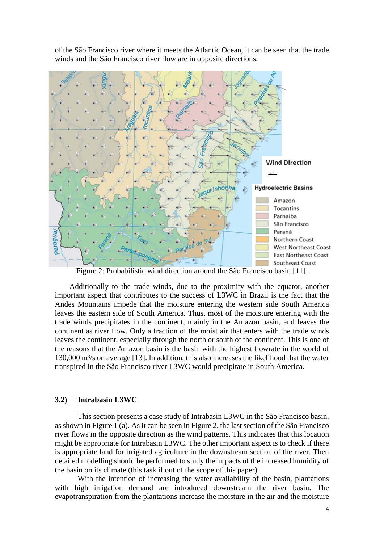of the São Francisco river where it meets the Atlantic Ocean, it can be seen that the trade winds and the São Francisco river flow are in opposite directions.



Figure 2: Probabilistic wind direction around the São Francisco basin [11].

<span id="page-3-0"></span>Additionally to the trade winds, due to the proximity with the equator, another important aspect that contributes to the success of L3WC in Brazil is the fact that the Andes Mountains impede that the moisture entering the western side South America leaves the eastern side of South America. Thus, most of the moisture entering with the trade winds precipitates in the continent, mainly in the Amazon basin, and leaves the continent as river flow. Only a fraction of the moist air that enters with the trade winds leaves the continent, especially through the north or south of the continent. This is one of the reasons that the Amazon basin is the basin with the highest flowrate in the world of 130,000 m³/s on average [13]. In addition, this also increases the likelihood that the water transpired in the São Francisco river L3WC would precipitate in South America.

#### **3.2) Intrabasin L3WC**

This section presents a case study of Intrabasin L3WC in the São Francisco basin, as shown in [Figure 1](#page-2-0) (a). As it can be seen i[n Figure 2,](#page-3-0) the last section of the São Francisco river flows in the opposite direction as the wind patterns. This indicates that this location might be appropriate for Intrabasin L3WC. The other important aspect is to check if there is appropriate land for irrigated agriculture in the downstream section of the river. Then detailed modelling should be performed to study the impacts of the increased humidity of the basin on its climate (this task if out of the scope of this paper).

With the intention of increasing the water availability of the basin, plantations with high irrigation demand are introduced downstream the river basin. The evapotranspiration from the plantations increase the moisture in the air and the moisture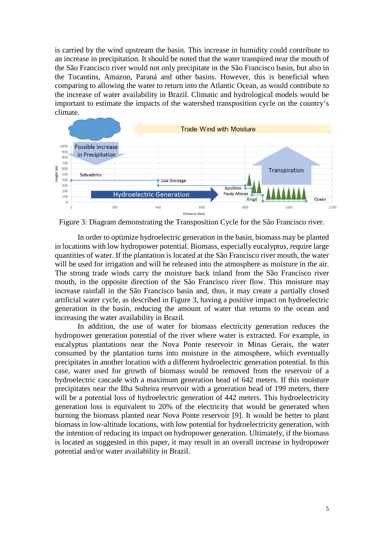is carried by the wind upstream the basin. This increase in humidity could contribute to an increase in precipitation. It should be noted that the water transpired near the mouth of the São Francisco river would not only precipitate in the São Francisco basin, but also in the Tocantins, Amazon, Paraná and other basins. However, this is beneficial when comparing to allowing the water to return into the Atlantic Ocean, as would contribute to the increase of water availability in Brazil. Climatic and hydrological models would be important to estimate the impacts of the watershed transposition cycle on the country's climate.



<span id="page-4-0"></span>Figure 3: Diagram demonstrating the Transposition Cycle for the São Francisco river.

In order to optimize hydroelectric generation in the basin, biomass may be planted in locations with low hydropower potential. Biomass, especially eucalyptus, require large quantities of water. If the plantation is located at the São Francisco river mouth, the water will be used for irrigation and will be released into the atmosphere as moisture in the air. The strong trade winds carry the moisture back inland from the São Francisco river mouth, in the opposite direction of the São Francisco river flow. This moisture may increase rainfall in the São Francisco basin and, thus, it may create a partially closed artificial water cycle, as described in [Figure 3,](#page-4-0) having a positive impact on hydroelectric generation in the basin, reducing the amount of water that returns to the ocean and increasing the water availability in Brazil.

In addition, the use of water for biomass electricity generation reduces the hydropower generation potential of the river where water is extracted. For example, in eucalyptus plantations near the Nova Ponte reservoir in Minas Gerais, the water consumed by the plantation turns into moisture in the atmosphere, which eventually precipitates in another location with a different hydroelectric generation potential. In this case, water used for growth of biomass would be removed from the reservoir of a hydroelectric cascade with a maximum generation head of 642 meters. If this moisture precipitates near the Ilha Solteira reservoir with a generation head of 199 meters, there will be a potential loss of hydroelectric generation of 442 meters. This hydroelectricity generation loss is equivalent to 20% of the electricity that would be generated when burning the biomass planted near Nova Ponte reservoir [9]. It would be better to plant biomass in low-altitude locations, with low potential for hydroelectricity generation, with the intention of reducing its impact on hydropower generation. Ultimately, if the biomass is located as suggested in this paper, it may result in an overall increase in hydropower potential and/or water availability in Brazil.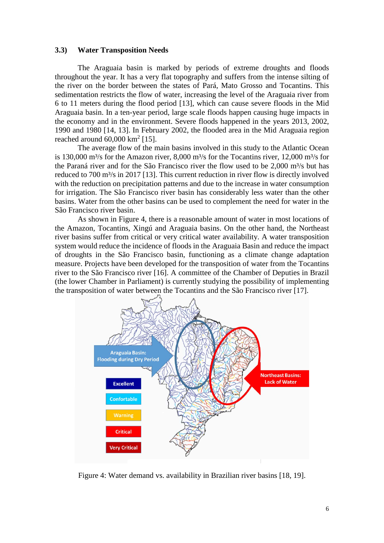#### **3.3) Water Transposition Needs**

The Araguaia basin is marked by periods of extreme droughts and floods throughout the year. It has a very flat topography and suffers from the intense silting of the river on the border between the states of Pará, Mato Grosso and Tocantins. This sedimentation restricts the flow of water, increasing the level of the Araguaia river from 6 to 11 meters during the flood period [13], which can cause severe floods in the Mid Araguaia basin. In a ten-year period, large scale floods happen causing huge impacts in the economy and in the environment. Severe floods happened in the years 2013, 2002, 1990 and 1980 [14, 13]. In February 2002, the flooded area in the Mid Araguaia region reached around  $60,000 \text{ km}^2$  [15].

The average flow of the main basins involved in this study to the Atlantic Ocean is 130,000 m<sup>3</sup>/s for the Amazon river, 8,000 m<sup>3</sup>/s for the Tocantins river, 12,000 m<sup>3</sup>/s for the Paraná river and for the São Francisco river the flow used to be  $2,000$  m<sup>3</sup>/s but has reduced to 700 m<sup>3</sup>/s in 2017 [13]. This current reduction in river flow is directly involved with the reduction on precipitation patterns and due to the increase in water consumption for irrigation. The São Francisco river basin has considerably less water than the other basins. Water from the other basins can be used to complement the need for water in the São Francisco river basin.

As shown in [Figure 4,](#page-5-0) there is a reasonable amount of water in most locations of the Amazon, Tocantins, Xingú and Araguaia basins. On the other hand, the Northeast river basins suffer from critical or very critical water availability. A water transposition system would reduce the incidence of floods in the Araguaia Basin and reduce the impact of droughts in the São Francisco basin, functioning as a climate change adaptation measure. Projects have been developed for the transposition of water from the Tocantins river to the São Francisco river [16]. A committee of the Chamber of Deputies in Brazil (the lower Chamber in Parliament) is currently studying the possibility of implementing the transposition of water between the Tocantins and the São Francisco river [17].



<span id="page-5-0"></span>Figure 4: Water demand vs. availability in Brazilian river basins [18, 19].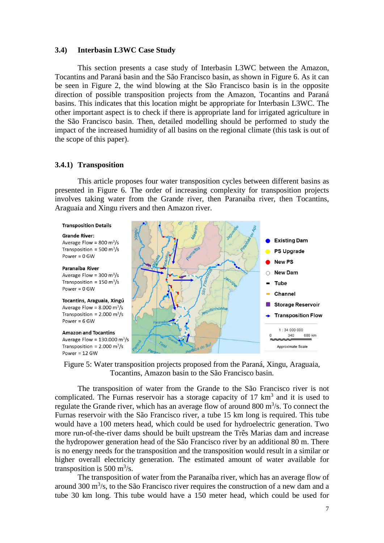## **3.4) Interbasin L3WC Case Study**

This section presents a case study of Interbasin L3WC between the Amazon, Tocantins and Paraná basin and the São Francisco basin, as shown in [Figure 6.](#page-6-0) As it can be seen in [Figure 2,](#page-3-0) the wind blowing at the São Francisco basin is in the opposite direction of possible transposition projects from the Amazon, Tocantins and Paraná basins. This indicates that this location might be appropriate for Interbasin L3WC. The other important aspect is to check if there is appropriate land for irrigated agriculture in the São Francisco basin. Then, detailed modelling should be performed to study the impact of the increased humidity of all basins on the regional climate (this task is out of the scope of this paper).

### **3.4.1) Transposition**

This article proposes four water transposition cycles between different basins as presented in [Figure 6.](#page-6-0) The order of increasing complexity for transposition projects involves taking water from the Grande river, then Paranaiba river, then Tocantins, Araguaia and Xingu rivers and then Amazon river.

#### **Transposition Details**

**Grande River:** Average Flow =  $800 \text{ m}^3\text{/s}$ Transposition =  $500 \text{ m}^3\text{/s}$ Power =  $0$  GW

Paranaíba River Average Flow =  $300 \text{ m}^3\text{/s}$ Transposition =  $150 \text{ m}^3/\text{s}$ Power =  $0$  GW

Tocantins, Araguaia, Xingú Average Flow =  $8.000 \text{ m}^3\text{/s}$ Transposition =  $2.000 \text{ m}^3/\text{s}$ Power =  $6$  GW

**Amazon and Tocantins** Average Flow =  $130.000$  m<sup>3</sup>/s Transposition =  $2.000 \text{ m}^3/\text{s}$ Power =  $12$  GW



<span id="page-6-0"></span>Figure 5: Water transposition projects proposed from the Paraná, Xingu, Araguaia, Tocantins, Amazon basin to the São Francisco basin.

The transposition of water from the Grande to the São Francisco river is not complicated. The Furnas reservoir has a storage capacity of  $17 \text{ km}^3$  and it is used to regulate the Grande river, which has an average flow of around  $800 \text{ m}^3/\text{s}$ . To connect the Furnas reservoir with the São Francisco river, a tube 15 km long is required. This tube would have a 100 meters head, which could be used for hydroelectric generation. Two more run-of-the-river dams should be built upstream the Três Marias dam and increase the hydropower generation head of the São Francisco river by an additional 80 m. There is no energy needs for the transposition and the transposition would result in a similar or higher overall electricity generation. The estimated amount of water available for transposition is 500 m<sup>3</sup>/s.

The transposition of water from the Paranaíba river, which has an average flow of around  $300 \text{ m}^3/\text{s}$ , to the São Francisco river requires the construction of a new dam and a tube 30 km long. This tube would have a 150 meter head, which could be used for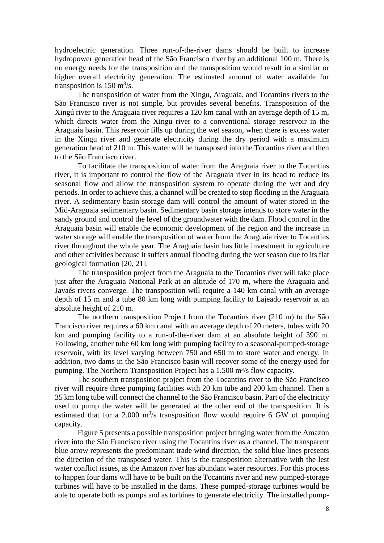hydroelectric generation. Three run-of-the-river dams should be built to increase hydropower generation head of the São Francisco river by an additional 100 m. There is no energy needs for the transposition and the transposition would result in a similar or higher overall electricity generation. The estimated amount of water available for transposition is  $150 \text{ m}^3\text{/s}.$ 

The transposition of water from the Xingu, Araguaia, and Tocantins rivers to the São Francisco river is not simple, but provides several benefits. Transposition of the Xingú river to the Araguaia river requires a 120 km canal with an average depth of 15 m, which directs water from the Xingu river to a conventional storage reservoir in the Araguaia basin. This reservoir fills up during the wet season, when there is excess water in the Xingu river and generate electricity during the dry period with a maximum generation head of 210 m. This water will be transposed into the Tocantins river and then to the São Francisco river.

To facilitate the transposition of water from the Araguaia river to the Tocantins river, it is important to control the flow of the Araguaia river in its head to reduce its seasonal flow and allow the transposition system to operate during the wet and dry periods. In order to achieve this, a channel will be created to stop flooding in the Araguaia river. A sedimentary basin storage dam will control the amount of water stored in the Mid-Araguaia sedimentary basin. Sedimentary basin storage intends to store water in the sandy ground and control the level of the groundwater with the dam. Flood control in the Araguaia basin will enable the economic development of the region and the increase in water storage will enable the transposition of water from the Araguaia river to Tocantins river throughout the whole year. The Araguaia basin has little investment in agriculture and other activities because it suffers annual flooding during the wet season due to its flat geological formation [20, 21].

The transposition project from the Araguaia to the Tocantins river will take place just after the Araguaia National Park at an altitude of 170 m, where the Araguaia and Javaés rivers converge. The transposition will require a 140 km canal with an average depth of 15 m and a tube 80 km long with pumping facility to Lajeado reservoir at an absolute height of 210 m.

The northern transposition Project from the Tocantins river (210 m) to the São Francisco river requires a 60 km canal with an average depth of 20 meters, tubes with 20 km and pumping facility to a run-of-the-river dam at an absolute height of 390 m. Following, another tube 60 km long with pumping facility to a seasonal-pumped-storage reservoir, with its level varying between 750 and 650 m to store water and energy. In addition, two dams in the São Francisco basin will recover some of the energy used for pumping. The Northern Transposition Project has a 1.500 m³/s flow capacity.

The southern transposition project from the Tocantins river to the São Francisco river will require three pumping facilities with 20 km tube and 200 km channel. Then a 35 km long tube will connect the channel to the São Francisco basin. Part of the electricity used to pump the water will be generated at the other end of the transposition. It is estimated that for a 2.000  $\mathrm{m}^3$ /s transposition flow would require 6 GW of pumping capacity.

[Figure 5](#page-8-0) presents a possible transposition project bringing water from the Amazon river into the São Francisco river using the Tocantins river as a channel. The transparent blue arrow represents the predominant trade wind direction, the solid blue lines presents the direction of the transposed water. This is the transposition alternative with the lest water conflict issues, as the Amazon river has abundant water resources. For this process to happen four dams will have to be built on the Tocantins river and new pumped-storage turbines will have to be installed in the dams. These pumped-storage turbines would be able to operate both as pumps and as turbines to generate electricity. The installed pump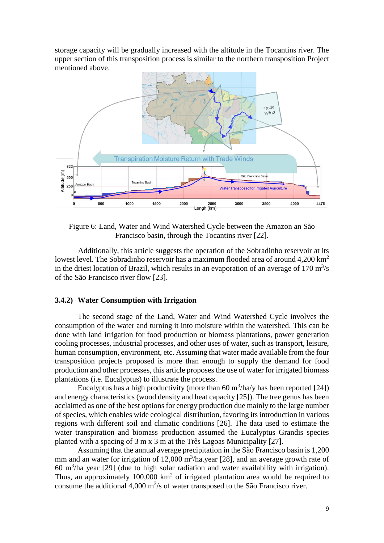storage capacity will be gradually increased with the altitude in the Tocantins river. The upper section of this transposition process is similar to the northern transposition Project mentioned above.



<span id="page-8-0"></span>Figure 6: Land, Water and Wind Watershed Cycle between the Amazon an São Francisco basin, through the Tocantins river [22].

Additionally, this article suggests the operation of the Sobradinho reservoir at its lowest level. The Sobradinho reservoir has a maximum flooded area of around 4,200 km<sup>2</sup> in the driest location of Brazil, which results in an evaporation of an average of  $170 \text{ m}^3/\text{s}$ of the São Francisco river flow [23].

#### **3.4.2) Water Consumption with Irrigation**

The second stage of the Land, Water and Wind Watershed Cycle involves the consumption of the water and turning it into moisture within the watershed. This can be done with land irrigation for food production or biomass plantations, power generation cooling processes, industrial processes, and other uses of water, such as transport, leisure, human consumption, environment, etc. Assuming that water made available from the four transposition projects proposed is more than enough to supply the demand for food production and other processes, this article proposes the use of water for irrigated biomass plantations (i.e. Eucalyptus) to illustrate the process.

Eucalyptus has a high productivity (more than  $60 \text{ m}^3/\text{ha/y}$  has been reported [24]) and energy characteristics (wood density and heat capacity [25]). The tree genus has been acclaimed as one of the best options for energy production due mainly to the large number of species, which enables wide ecological distribution, favoring its introduction in various regions with different soil and climatic conditions [26]. The data used to estimate the water transpiration and biomass production assumed the Eucalyptus Grandis species planted with a spacing of 3 m x 3 m at the Três Lagoas Municipality [27].

Assuming that the annual average precipitation in the São Francisco basin is 1,200 mm and an water for irrigation of  $12,000 \text{ m}^3$ /ha.year [28], and an average growth rate of 60 m<sup>3</sup>/ha year [29] (due to high solar radiation and water availability with irrigation). Thus, an approximately  $100,000 \text{ km}^2$  of irrigated plantation area would be required to consume the additional  $4,000 \text{ m}^3/\text{s}$  of water transposed to the São Francisco river.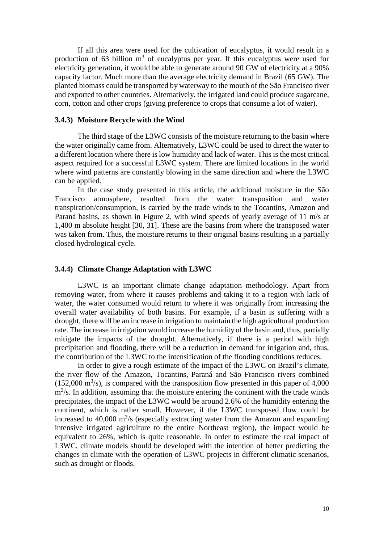If all this area were used for the cultivation of eucalyptus, it would result in a production of 63 billion  $m<sup>3</sup>$  of eucalyptus per year. If this eucalyptus were used for electricity generation, it would be able to generate around 90 GW of electricity at a 90% capacity factor. Much more than the average electricity demand in Brazil (65 GW). The planted biomass could be transported by waterway to the mouth of the São Francisco river and exported to other countries. Alternatively, the irrigated land could produce sugarcane, corn, cotton and other crops (giving preference to crops that consume a lot of water).

#### **3.4.3) Moisture Recycle with the Wind**

The third stage of the L3WC consists of the moisture returning to the basin where the water originally came from. Alternatively, L3WC could be used to direct the water to a different location where there is low humidity and lack of water. This is the most critical aspect required for a successful L3WC system. There are limited locations in the world where wind patterns are constantly blowing in the same direction and where the L3WC can be applied.

In the case study presented in this article, the additional moisture in the São Francisco atmosphere, resulted from the water transposition and water transpiration/consumption, is carried by the trade winds to the Tocantins, Amazon and Paraná basins, as shown in [Figure 2,](#page-3-0) with wind speeds of yearly average of 11 m/s at 1,400 m absolute height [30, 31]. These are the basins from where the transposed water was taken from. Thus, the moisture returns to their original basins resulting in a partially closed hydrological cycle.

#### **3.4.4) Climate Change Adaptation with L3WC**

L3WC is an important climate change adaptation methodology. Apart from removing water, from where it causes problems and taking it to a region with lack of water, the water consumed would return to where it was originally from increasing the overall water availability of both basins. For example, if a basin is suffering with a drought, there will be an increase in irrigation to maintain the high agricultural production rate. The increase in irrigation would increase the humidity of the basin and, thus, partially mitigate the impacts of the drought. Alternatively, if there is a period with high precipitation and flooding, there will be a reduction in demand for irrigation and, thus, the contribution of the L3WC to the intensification of the flooding conditions reduces.

In order to give a rough estimate of the impact of the L3WC on Brazil's climate, the river flow of the Amazon, Tocantins, Paraná and São Francisco rivers combined  $(152,000 \text{ m}^3/\text{s})$ , is compared with the transposition flow presented in this paper of 4,000  $m<sup>3</sup>/s$ . In addition, assuming that the moisture entering the continent with the trade winds precipitates, the impact of the L3WC would be around 2.6% of the humidity entering the continent, which is rather small. However, if the L3WC transposed flow could be increased to  $40,000 \text{ m}^3$ /s (especially extracting water from the Amazon and expanding intensive irrigated agriculture to the entire Northeast region), the impact would be equivalent to 26%, which is quite reasonable. In order to estimate the real impact of L3WC, climate models should be developed with the intention of better predicting the changes in climate with the operation of L3WC projects in different climatic scenarios, such as drought or floods.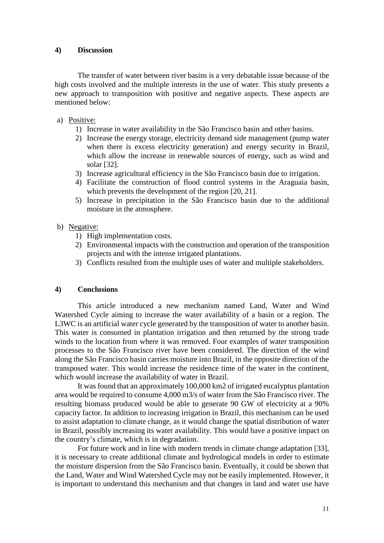# **4) Discussion**

The transfer of water between river basins is a very debatable issue because of the high costs involved and the multiple interests in the use of water. This study presents a new approach to transposition with positive and negative aspects. These aspects are mentioned below:

# a) Positive:

- 1) Increase in water availability in the São Francisco basin and other basins.
- 2) Increase the energy storage, electricity demand side management (pump water when there is excess electricity generation) and energy security in Brazil, which allow the increase in renewable sources of energy, such as wind and solar [32].
- 3) Increase agricultural efficiency in the São Francisco basin due to irrigation.
- 4) Facilitate the construction of flood control systems in the Araguaia basin, which prevents the development of the region [20, 21].
- 5) Increase in precipitation in the São Francisco basin due to the additional moisture in the atmosphere.

# b) Negative:

- 1) High implementation costs.
- 2) Environmental impacts with the construction and operation of the transposition projects and with the intense irrigated plantations.
- 3) Conflicts resulted from the multiple uses of water and multiple stakeholders.

# **4) Conclusions**

This article introduced a new mechanism named Land, Water and Wind Watershed Cycle aiming to increase the water availability of a basin or a region. The L3WC is an artificial water cycle generated by the transposition of water to another basin. This water is consumed in plantation irrigation and then returned by the strong trade winds to the location from where it was removed. Four examples of water transposition processes to the São Francisco river have been considered. The direction of the wind along the São Francisco basin carries moisture into Brazil, in the opposite direction of the transposed water. This would increase the residence time of the water in the continent, which would increase the availability of water in Brazil.

It was found that an approximately 100,000 km2 of irrigated eucalyptus plantation area would be required to consume 4,000 m3/s of water from the São Francisco river. The resulting biomass produced would be able to generate 90 GW of electricity at a 90% capacity factor. In addition to increasing irrigation in Brazil, this mechanism can be used to assist adaptation to climate change, as it would change the spatial distribution of water in Brazil, possibly increasing its water availability. This would have a positive impact on the country's climate, which is in degradation.

For future work and in line with modern trends in climate change adaptation [33], it is necessary to create additional climate and hydrological models in order to estimate the moisture dispersion from the São Francisco basin. Eventually, it could be shown that the Land, Water and Wind Watershed Cycle may not be easily implemented. However, it is important to understand this mechanism and that changes in land and water use have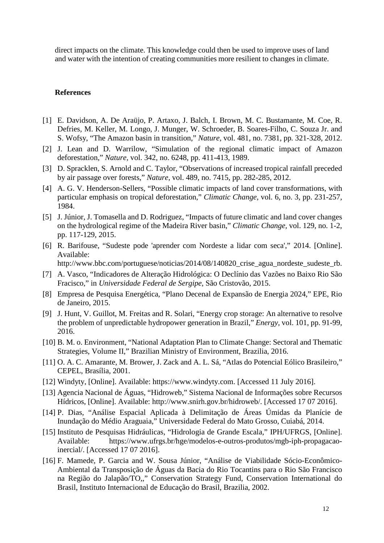direct impacts on the climate. This knowledge could then be used to improve uses of land and water with the intention of creating communities more resilient to changes in climate.

#### **References**

- [1] E. Davidson, A. De Araüjo, P. Artaxo, J. Balch, I. Brown, M. C. Bustamante, M. Coe, R. Defries, M. Keller, M. Longo, J. Munger, W. Schroeder, B. Soares-Filho, C. Souza Jr. and S. Wofsy, "The Amazon basin in transition," *Nature,* vol. 481, no. 7381, pp. 321-328, 2012.
- [2] J. Lean and D. Warrilow, "Simulation of the regional climatic impact of Amazon deforestation," *Nature,* vol. 342, no. 6248, pp. 411-413, 1989.
- [3] D. Spracklen, S. Arnold and C. Taylor, "Observations of increased tropical rainfall preceded by air passage over forests," *Nature,* vol. 489, no. 7415, pp. 282-285, 2012.
- [4] A. G. V. Henderson-Sellers, "Possible climatic impacts of land cover transformations, with particular emphasis on tropical deforestation," *Climatic Change,* vol. 6, no. 3, pp. 231-257, 1984.
- [5] J. Júnior, J. Tomasella and D. Rodriguez, "Impacts of future climatic and land cover changes on the hydrological regime of the Madeira River basin," *Climatic Change,* vol. 129, no. 1-2, pp. 117-129, 2015.
- [6] R. Barifouse, "Sudeste pode 'aprender com Nordeste a lidar com seca'," 2014. [Online]. Available:

http://www.bbc.com/portuguese/noticias/2014/08/140820\_crise\_agua\_nordeste\_sudeste\_rb.

- [7] A. Vasco, "Indicadores de Alteração Hidrológica: O Declínio das Vazões no Baixo Rio São Fracisco," in *Universidade Federal de Sergipe*, São Cristovão, 2015.
- [8] Empresa de Pesquisa Energética, "Plano Decenal de Expansão de Energia 2024," EPE, Rio de Janeiro, 2015.
- [9] J. Hunt, V. Guillot, M. Freitas and R. Solari, "Energy crop storage: An alternative to resolve the problem of unpredictable hydropower generation in Brazil," *Energy,* vol. 101, pp. 91-99, 2016.
- [10] B. M. o. Environment, "National Adaptation Plan to Climate Change: Sectoral and Thematic Strategies, Volume II," Brazilian Ministry of Environment, Brazilia, 2016.
- [11] O. A. C. Amarante, M. Brower, J. Zack and A. L. Sá, "Atlas do Potencial Eólico Brasileiro," CEPEL, Brasília, 2001.
- [12] Windyty, [Online]. Available: https://www.windyty.com. [Accessed 11 July 2016].
- [13] Agencia Nacional de Águas, "Hidroweb," Sistema Nacional de Informações sobre Recursos Hídricos, [Online]. Available: http://www.snirh.gov.br/hidroweb/. [Accessed 17 07 2016].
- [14] P. Dias, "Análise Espacial Aplicada à Delimitação de Áreas Úmidas da Planície de Inundação do Médio Araguaia," Universidade Federal do Mato Grosso, Cuiabá, 2014.
- [15] Instituto de Pesquisas Hidráulicas, "Hidrologia de Grande Escala," IPH/UFRGS, [Online]. Available: https://www.ufrgs.br/hge/modelos-e-outros-produtos/mgb-iph-propagacaoinercial/. [Accessed 17 07 2016].
- [16] F. Mamede, P. Garcia and W. Sousa Júnior, "Análise de Viabilidade Sócio-Econômico-Ambiental da Transposição de Águas da Bacia do Rio Tocantins para o Rio São Francisco na Região do Jalapão/TO,," Conservation Strategy Fund, Conservation International do Brasil, Instituto Internacional de Educação do Brasil, Brazilia, 2002.